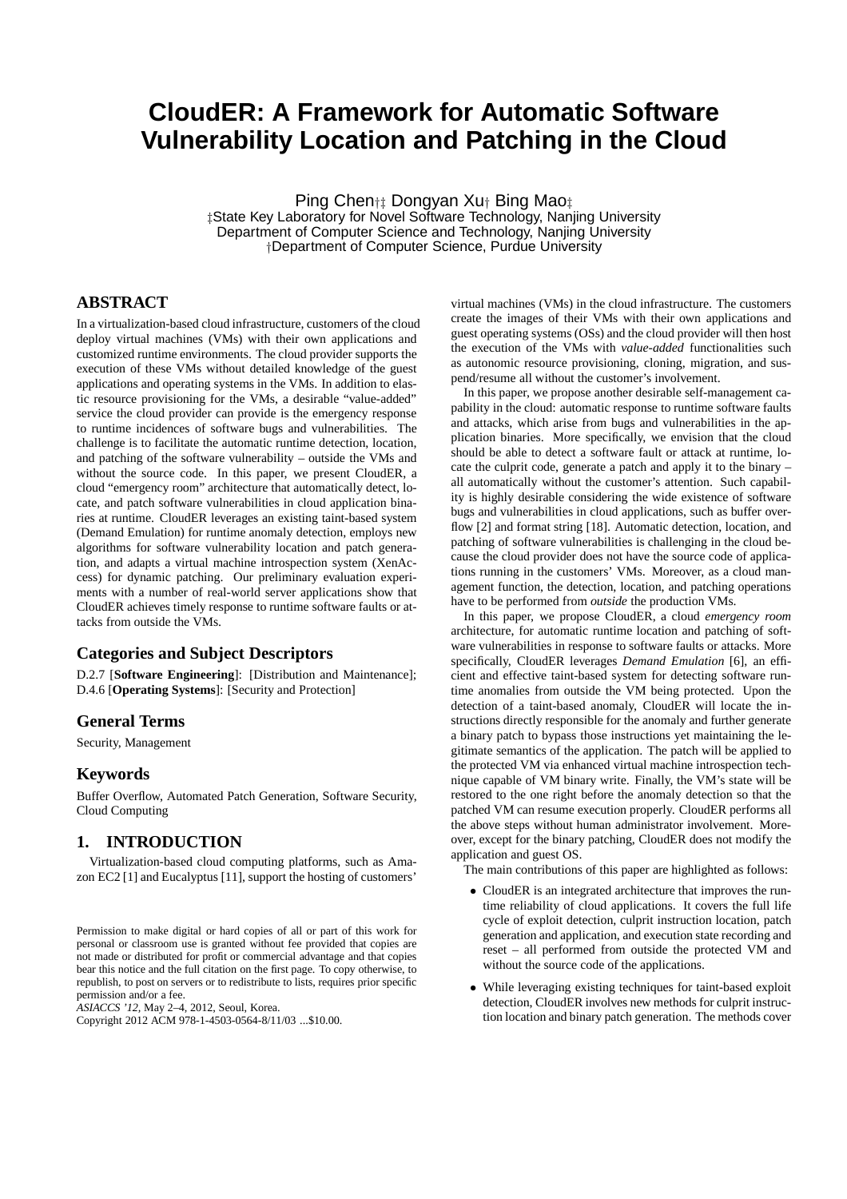# **CloudER: A Framework for Automatic Software Vulnerability Location and Patching in the Cloud**

Ping Chen†‡ Dongyan Xu† Bing Mao‡ ‡State Key Laboratory for Novel Software Technology, Nanjing University Department of Computer Science and Technology, Nanjing University †Department of Computer Science, Purdue University

# **ABSTRACT**

In a virtualization-based cloud infrastructure, customers of the cloud deploy virtual machines (VMs) with their own applications and customized runtime environments. The cloud provider supports the execution of these VMs without detailed knowledge of the guest applications and operating systems in the VMs. In addition to elastic resource provisioning for the VMs, a desirable "value-added" service the cloud provider can provide is the emergency response to runtime incidences of software bugs and vulnerabilities. The challenge is to facilitate the automatic runtime detection, location, and patching of the software vulnerability – outside the VMs and without the source code. In this paper, we present CloudER, a cloud "emergency room" architecture that automatically detect, locate, and patch software vulnerabilities in cloud application binaries at runtime. CloudER leverages an existing taint-based system (Demand Emulation) for runtime anomaly detection, employs new algorithms for software vulnerability location and patch generation, and adapts a virtual machine introspection system (XenAccess) for dynamic patching. Our preliminary evaluation experiments with a number of real-world server applications show that CloudER achieves timely response to runtime software faults or attacks from outside the VMs.

#### **Categories and Subject Descriptors**

D.2.7 [**Software Engineering**]: [Distribution and Maintenance]; D.4.6 [**Operating Systems**]: [Security and Protection]

# **General Terms**

Security, Management

#### **Keywords**

Buffer Overflow, Automated Patch Generation, Software Security, Cloud Computing

#### **1. INTRODUCTION**

Virtualization-based cloud computing platforms, such as Amazon EC2 [1] and Eucalyptus [11], support the hosting of customers'

Permission to make digital or hard copies of all or part of this work for personal or classroom use is granted without fee provided that copies are not made or distributed for profit or commercial advantage and that copies bear this notice and the full citation on the first page. To copy otherwise, to republish, to post on servers or to redistribute to lists, requires prior specific permission and/or a fee.

*ASIACCS '12,* May 2–4, 2012, Seoul, Korea.

virtual machines (VMs) in the cloud infrastructure. The customers create the images of their VMs with their own applications and guest operating systems (OSs) and the cloud provider will then host the execution of the VMs with *value-added* functionalities such as autonomic resource provisioning, cloning, migration, and suspend/resume all without the customer's involvement.

In this paper, we propose another desirable self-management capability in the cloud: automatic response to runtime software faults and attacks, which arise from bugs and vulnerabilities in the application binaries. More specifically, we envision that the cloud should be able to detect a software fault or attack at runtime, locate the culprit code, generate a patch and apply it to the binary – all automatically without the customer's attention. Such capability is highly desirable considering the wide existence of software bugs and vulnerabilities in cloud applications, such as buffer overflow [2] and format string [18]. Automatic detection, location, and patching of software vulnerabilities is challenging in the cloud because the cloud provider does not have the source code of applications running in the customers' VMs. Moreover, as a cloud management function, the detection, location, and patching operations have to be performed from *outside* the production VMs.

In this paper, we propose CloudER, a cloud *emergency room* architecture, for automatic runtime location and patching of software vulnerabilities in response to software faults or attacks. More specifically, CloudER leverages *Demand Emulation* [6], an efficient and effective taint-based system for detecting software runtime anomalies from outside the VM being protected. Upon the detection of a taint-based anomaly, CloudER will locate the instructions directly responsible for the anomaly and further generate a binary patch to bypass those instructions yet maintaining the legitimate semantics of the application. The patch will be applied to the protected VM via enhanced virtual machine introspection technique capable of VM binary write. Finally, the VM's state will be restored to the one right before the anomaly detection so that the patched VM can resume execution properly. CloudER performs all the above steps without human administrator involvement. Moreover, except for the binary patching, CloudER does not modify the application and guest OS.

The main contributions of this paper are highlighted as follows:

- CloudER is an integrated architecture that improves the runtime reliability of cloud applications. It covers the full life cycle of exploit detection, culprit instruction location, patch generation and application, and execution state recording and reset – all performed from outside the protected VM and without the source code of the applications.
- While leveraging existing techniques for taint-based exploit detection, CloudER involves new methods for culprit instruction location and binary patch generation. The methods cover

Copyright 2012 ACM 978-1-4503-0564-8/11/03 ...\$10.00.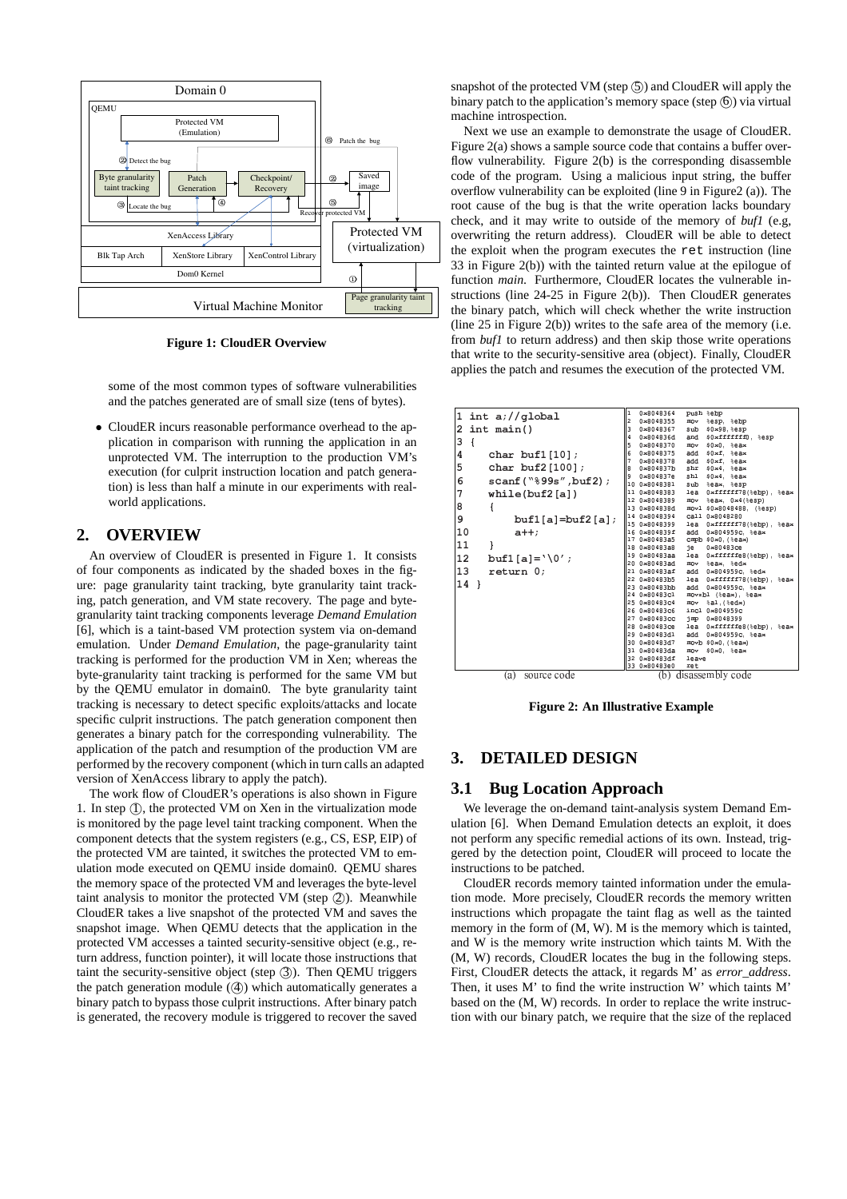

**Figure 1: CloudER Overview**

some of the most common types of software vulnerabilities and the patches generated are of small size (tens of bytes).

• CloudER incurs reasonable performance overhead to the application in comparison with running the application in an unprotected VM. The interruption to the production VM's execution (for culprit instruction location and patch generation) is less than half a minute in our experiments with realworld applications.

## **2. OVERVIEW**

An overview of CloudER is presented in Figure 1. It consists of four components as indicated by the shaded boxes in the figure: page granularity taint tracking, byte granularity taint tracking, patch generation, and VM state recovery. The page and bytegranularity taint tracking components leverage *Demand Emulation* [6], which is a taint-based VM protection system via on-demand emulation. Under *Demand Emulation*, the page-granularity taint tracking is performed for the production VM in Xen; whereas the byte-granularity taint tracking is performed for the same VM but by the QEMU emulator in domain0. The byte granularity taint tracking is necessary to detect specific exploits/attacks and locate specific culprit instructions. The patch generation component then generates a binary patch for the corresponding vulnerability. The application of the patch and resumption of the production VM are performed by the recovery component (which in turn calls an adapted version of XenAccess library to apply the patch).

The work flow of CloudER's operations is also shown in Figure 1. In step (I), the protected VM on Xen in the virtualization mode is monitored by the page level taint tracking component. When the component detects that the system registers (e.g., CS, ESP, EIP) of the protected VM are tainted, it switches the protected VM to emulation mode executed on QEMU inside domain0. QEMU shares the memory space of the protected VM and leverages the byte-level taint analysis to monitor the protected VM (step  $(2)$ ). Meanwhile CloudER takes a live snapshot of the protected VM and saves the snapshot image. When QEMU detects that the application in the protected VM accesses a tainted security-sensitive object (e.g., return address, function pointer), it will locate those instructions that taint the security-sensitive object (step 3). Then QEMU triggers the patch generation module  $(4)$ ) which automatically generates a binary patch to bypass those culprit instructions. After binary patch is generated, the recovery module is triggered to recover the saved

snapshot of the protected VM (step  $(5)$ ) and CloudER will apply the binary patch to the application's memory space (step  $(6)$ ) via virtual machine introspection.

Next we use an example to demonstrate the usage of CloudER. Figure 2(a) shows a sample source code that contains a buffer overflow vulnerability. Figure 2(b) is the corresponding disassemble code of the program. Using a malicious input string, the buffer overflow vulnerability can be exploited (line 9 in Figure2 (a)). The root cause of the bug is that the write operation lacks boundary check, and it may write to outside of the memory of *buf1* (e.g, overwriting the return address). CloudER will be able to detect the exploit when the program executes the ret instruction (line 33 in Figure 2(b)) with the tainted return value at the epilogue of function *main*. Furthermore, CloudER locates the vulnerable instructions (line 24-25 in Figure 2(b)). Then CloudER generates the binary patch, which will check whether the write instruction (line  $25$  in Figure  $2(b)$ ) writes to the safe area of the memory (i.e. from *buf1* to return address) and then skip those write operations that write to the security-sensitive area (object). Finally, CloudER applies the patch and resumes the execution of the protected VM.

| 1<br>int $a$ ;//qlobal   |                                               |              | 0x8048364                    |            | push %ebp                            |  |
|--------------------------|-----------------------------------------------|--------------|------------------------------|------------|--------------------------------------|--|
|                          |                                               |              | 0x8048355                    | mov        | tesp, tebp                           |  |
| $int \text{main}()$<br>2 |                                               | 3            | 0x8048367                    | sub        | \$0x98, %esp                         |  |
| 3<br>Ł                   |                                               | 4<br>5       | 0x804836d                    | and        | \$0xfffffff0, %esp                   |  |
|                          |                                               | 6            | 0x8048370<br>0x8048375       | mov<br>add | $$0x0, %$ eax                        |  |
| 4                        | char $buf1[10]$ ;                             |              | 0x8048378                    | add        | \$0xf, %eax<br>\$0xf, %eax           |  |
| 5                        | char $buf2[100]$ ;                            | 8            | 0x804837b                    | shr        | \$0x4, %                             |  |
| 6                        |                                               | 9            | 0x804837e                    | shl        | \$0x4, %                             |  |
|                          | scanf("%99s",buf2);                           |              | 10 0x8048381                 |            | sub %eax, %esp                       |  |
| 7                        | while (buf2[a])                               |              | 11 0x8048383                 | lea        | Oxffffff78(%ebp), %eax               |  |
|                          |                                               |              | 12 0x8048389                 | mov        | teax. 0x4(tesp)                      |  |
| 8                        |                                               |              | 13 0x804838d                 |            | movl \$0x8048488, (%esp)             |  |
| 9                        | $buf1[a]=buf2[a]$                             |              | 14 0x8048394                 |            | call 0x8048280                       |  |
|                          |                                               |              | 15 0x8048399                 | lea        | Oxffffff78(%ebp), %eax               |  |
| 10                       | $a++$                                         |              | 16 0x804839f                 | add        | 0x804959c. %eax                      |  |
| 11                       |                                               |              | 17 0x80483a5<br>18 0x80483a8 |            | cmpb $$0x0,$ ( $%$ eax)<br>0x80483ce |  |
|                          |                                               |              | 19 0x80483aa                 | iе<br>lea  |                                      |  |
| 12                       | $buf1[a]=\10',$                               |              | 20 0x80483ad                 | mov        | Oxffffffe8(%ebp), %eax<br>teax, tedx |  |
| 13                       | return 0;                                     |              | 21 0x80483af                 | add        | 0x804959c. %edx                      |  |
|                          |                                               |              | 22 0x80483b5                 |            | lea 0xffffff78(%ebp), %eax           |  |
| 14                       |                                               |              | 23 0x80483bb                 | add        | 0x804959c, %eax                      |  |
|                          |                                               |              | 24 0x80483cl                 |            | movzbl (%eax), %eax                  |  |
|                          |                                               |              | 25 0x80483c4                 | mov        | $%al.$ $(*edx)$                      |  |
|                          |                                               |              | 26 0x80483c6                 |            | incl 0x804959c                       |  |
|                          |                                               |              | 27 0x80483cc                 | imp        | 0x8048399                            |  |
|                          |                                               |              | 28 0x80483ce                 |            | lea 0xffffffe8(%ebp), %eax           |  |
|                          |                                               |              | 29 0x80483d1                 | add        | 0x804959c, %eax                      |  |
|                          |                                               |              | 30 0x80483d7                 |            | movb \$0x0. (%eax)                   |  |
|                          |                                               |              | 31 0x80483da                 | mov        | $S0x0.$ %eax                         |  |
|                          |                                               |              | 32 0x80483df                 | leave      |                                      |  |
|                          |                                               | 33 0x80483e0 | ret                          |            |                                      |  |
|                          | disassembly code<br>(h)<br>(a)<br>source code |              |                              |            |                                      |  |

**Figure 2: An Illustrative Example**

# **3. DETAILED DESIGN**

#### **3.1 Bug Location Approach**

We leverage the on-demand taint-analysis system Demand Emulation [6]. When Demand Emulation detects an exploit, it does not perform any specific remedial actions of its own. Instead, triggered by the detection point, CloudER will proceed to locate the instructions to be patched.

CloudER records memory tainted information under the emulation mode. More precisely, CloudER records the memory written instructions which propagate the taint flag as well as the tainted memory in the form of (M, W). M is the memory which is tainted, and W is the memory write instruction which taints M. With the (M, W) records, CloudER locates the bug in the following steps. First, CloudER detects the attack, it regards M' as *error\_address*. Then, it uses M' to find the write instruction W' which taints M' based on the (M, W) records. In order to replace the write instruction with our binary patch, we require that the size of the replaced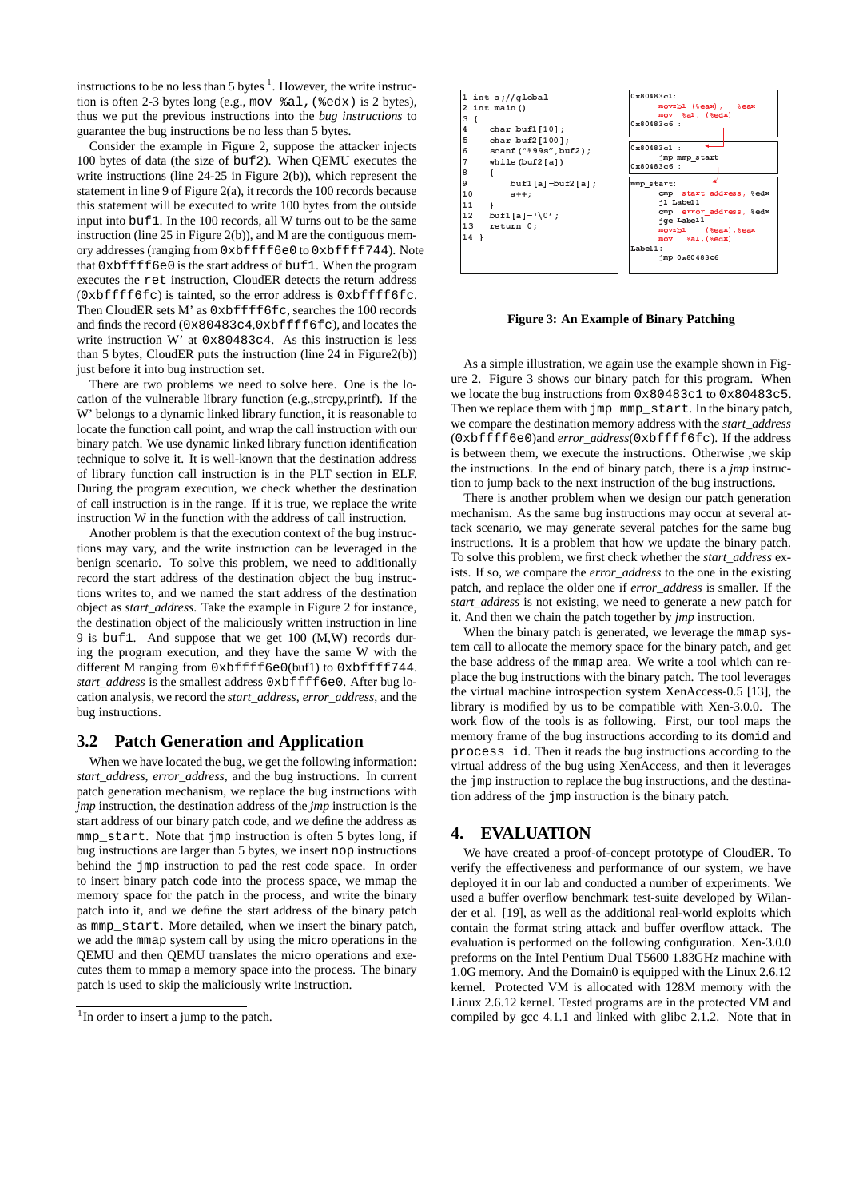instructions to be no less than 5 bytes  $<sup>1</sup>$ . However, the write instruc-</sup> tion is often 2-3 bytes long (e.g., mov %al,(%edx) is 2 bytes), thus we put the previous instructions into the *bug instructions* to guarantee the bug instructions be no less than 5 bytes.

Consider the example in Figure 2, suppose the attacker injects 100 bytes of data (the size of buf2). When QEMU executes the write instructions (line 24-25 in Figure 2(b)), which represent the statement in line 9 of Figure 2(a), it records the 100 records because this statement will be executed to write 100 bytes from the outside input into buf1. In the 100 records, all W turns out to be the same instruction (line  $25$  in Figure  $2(b)$ ), and M are the contiguous memory addresses (ranging from 0xbffff6e0 to 0xbffff744). Note that 0xbffff6e0 is the start address of buf1. When the program executes the ret instruction, CloudER detects the return address  $(0xbfffff6fc)$  is tainted, so the error address is  $0xbfffff6fc$ . Then CloudER sets M' as  $0 \times 0$  fffff6fc, searches the 100 records and finds the record (0x80483c4,0xbffff6fc), and locates the write instruction W' at  $0 \times 80483c4$ . As this instruction is less than 5 bytes, CloudER puts the instruction (line 24 in Figure2(b)) just before it into bug instruction set.

There are two problems we need to solve here. One is the location of the vulnerable library function (e.g.,strcpy,printf). If the W' belongs to a dynamic linked library function, it is reasonable to locate the function call point, and wrap the call instruction with our binary patch. We use dynamic linked library function identification technique to solve it. It is well-known that the destination address of library function call instruction is in the PLT section in ELF. During the program execution, we check whether the destination of call instruction is in the range. If it is true, we replace the write instruction W in the function with the address of call instruction.

Another problem is that the execution context of the bug instructions may vary, and the write instruction can be leveraged in the benign scenario. To solve this problem, we need to additionally record the start address of the destination object the bug instructions writes to, and we named the start address of the destination object as *start\_address*. Take the example in Figure 2 for instance, the destination object of the maliciously written instruction in line 9 is buf1. And suppose that we get 100 (M,W) records during the program execution, and they have the same W with the different M ranging from  $0$ xbffff6e0(buf1) to  $0$ xbffff744. *start\_address* is the smallest address 0xbffff6e0. After bug location analysis, we record the *start\_address*, *error\_address*, and the bug instructions.

### **3.2 Patch Generation and Application**

When we have located the bug, we get the following information: *start\_address*, *error\_address*, and the bug instructions. In current patch generation mechanism, we replace the bug instructions with *jmp* instruction, the destination address of the *jmp* instruction is the start address of our binary patch code, and we define the address as mmp\_start. Note that jmp instruction is often 5 bytes long, if bug instructions are larger than 5 bytes, we insert nop instructions behind the jmp instruction to pad the rest code space. In order to insert binary patch code into the process space, we mmap the memory space for the patch in the process, and write the binary patch into it, and we define the start address of the binary patch as mmp\_start. More detailed, when we insert the binary patch, we add the mmap system call by using the micro operations in the QEMU and then QEMU translates the micro operations and executes them to mmap a memory space into the process. The binary patch is used to skip the maliciously write instruction.



**Figure 3: An Example of Binary Patching**

As a simple illustration, we again use the example shown in Figure 2. Figure 3 shows our binary patch for this program. When we locate the bug instructions from 0x80483c1 to 0x80483c5. Then we replace them with jmp mmp\_start. In the binary patch, we compare the destination memory address with the *start\_address* (0xbffff6e0)and *error\_address*(0xbffff6fc). If the address is between them, we execute the instructions. Otherwise ,we skip the instructions. In the end of binary patch, there is a *jmp* instruction to jump back to the next instruction of the bug instructions.

There is another problem when we design our patch generation mechanism. As the same bug instructions may occur at several attack scenario, we may generate several patches for the same bug instructions. It is a problem that how we update the binary patch. To solve this problem, we first check whether the *start\_address* exists. If so, we compare the *error\_address* to the one in the existing patch, and replace the older one if *error\_address* is smaller. If the *start\_address* is not existing, we need to generate a new patch for it. And then we chain the patch together by *jmp* instruction.

When the binary patch is generated, we leverage the mmap system call to allocate the memory space for the binary patch, and get the base address of the mmap area. We write a tool which can replace the bug instructions with the binary patch. The tool leverages the virtual machine introspection system XenAccess-0.5 [13], the library is modified by us to be compatible with Xen-3.0.0. The work flow of the tools is as following. First, our tool maps the memory frame of the bug instructions according to its domid and process id. Then it reads the bug instructions according to the virtual address of the bug using XenAccess, and then it leverages the jmp instruction to replace the bug instructions, and the destination address of the jmp instruction is the binary patch.

#### **4. EVALUATION**

We have created a proof-of-concept prototype of CloudER. To verify the effectiveness and performance of our system, we have deployed it in our lab and conducted a number of experiments. We used a buffer overflow benchmark test-suite developed by Wilander et al. [19], as well as the additional real-world exploits which contain the format string attack and buffer overflow attack. The evaluation is performed on the following configuration. Xen-3.0.0 preforms on the Intel Pentium Dual T5600 1.83GHz machine with 1.0G memory. And the Domain0 is equipped with the Linux 2.6.12 kernel. Protected VM is allocated with 128M memory with the Linux 2.6.12 kernel. Tested programs are in the protected VM and compiled by gcc 4.1.1 and linked with glibc 2.1.2. Note that in

<sup>&</sup>lt;sup>1</sup>In order to insert a jump to the patch.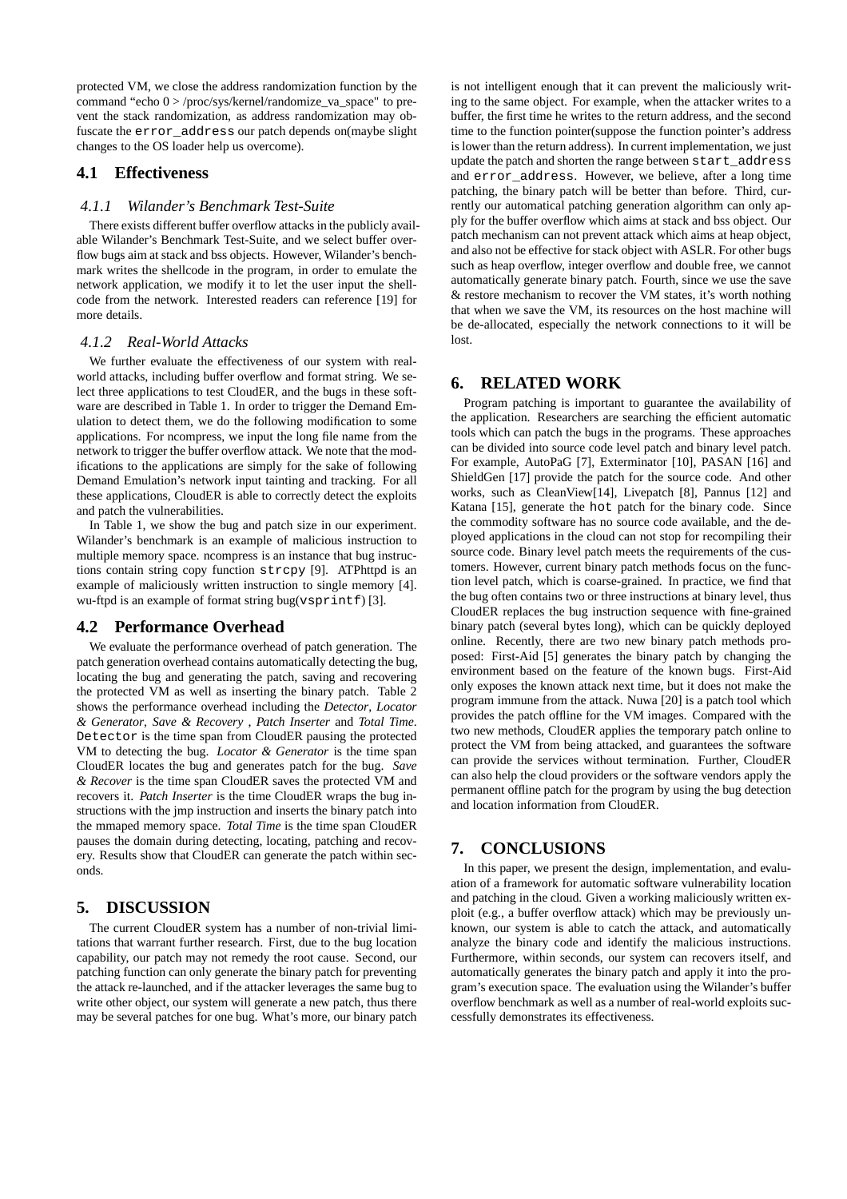protected VM, we close the address randomization function by the command "echo 0 > /proc/sys/kernel/randomize\_va\_space" to prevent the stack randomization, as address randomization may obfuscate the error\_address our patch depends on(maybe slight changes to the OS loader help us overcome).

# **4.1 Effectiveness**

#### *4.1.1 Wilander's Benchmark Test-Suite*

There exists different buffer overflow attacks in the publicly available Wilander's Benchmark Test-Suite, and we select buffer overflow bugs aim at stack and bss objects. However, Wilander's benchmark writes the shellcode in the program, in order to emulate the network application, we modify it to let the user input the shellcode from the network. Interested readers can reference [19] for more details.

#### *4.1.2 Real-World Attacks*

We further evaluate the effectiveness of our system with realworld attacks, including buffer overflow and format string. We select three applications to test CloudER, and the bugs in these software are described in Table 1. In order to trigger the Demand Emulation to detect them, we do the following modification to some applications. For ncompress, we input the long file name from the network to trigger the buffer overflow attack. We note that the modifications to the applications are simply for the sake of following Demand Emulation's network input tainting and tracking. For all these applications, CloudER is able to correctly detect the exploits and patch the vulnerabilities.

In Table 1, we show the bug and patch size in our experiment. Wilander's benchmark is an example of malicious instruction to multiple memory space. ncompress is an instance that bug instructions contain string copy function strcpy [9]. ATPhttpd is an example of maliciously written instruction to single memory [4]. wu-ftpd is an example of format string bug(vsprintf) [3].

#### **4.2 Performance Overhead**

We evaluate the performance overhead of patch generation. The patch generation overhead contains automatically detecting the bug, locating the bug and generating the patch, saving and recovering the protected VM as well as inserting the binary patch. Table 2 shows the performance overhead including the *Detector*, *Locator & Generator*, *Save & Recovery* , *Patch Inserter* and *Total Time*. Detector is the time span from CloudER pausing the protected VM to detecting the bug. *Locator & Generator* is the time span CloudER locates the bug and generates patch for the bug. *Save & Recover* is the time span CloudER saves the protected VM and recovers it. *Patch Inserter* is the time CloudER wraps the bug instructions with the jmp instruction and inserts the binary patch into the mmaped memory space. *Total Time* is the time span CloudER pauses the domain during detecting, locating, patching and recovery. Results show that CloudER can generate the patch within seconds.

#### **5. DISCUSSION**

The current CloudER system has a number of non-trivial limitations that warrant further research. First, due to the bug location capability, our patch may not remedy the root cause. Second, our patching function can only generate the binary patch for preventing the attack re-launched, and if the attacker leverages the same bug to write other object, our system will generate a new patch, thus there may be several patches for one bug. What's more, our binary patch

is not intelligent enough that it can prevent the maliciously writing to the same object. For example, when the attacker writes to a buffer, the first time he writes to the return address, and the second time to the function pointer(suppose the function pointer's address is lower than the return address). In current implementation, we just update the patch and shorten the range between start\_address and error\_address. However, we believe, after a long time patching, the binary patch will be better than before. Third, currently our automatical patching generation algorithm can only apply for the buffer overflow which aims at stack and bss object. Our patch mechanism can not prevent attack which aims at heap object, and also not be effective for stack object with ASLR. For other bugs such as heap overflow, integer overflow and double free, we cannot automatically generate binary patch. Fourth, since we use the save & restore mechanism to recover the VM states, it's worth nothing that when we save the VM, its resources on the host machine will be de-allocated, especially the network connections to it will be lost.

#### **6. RELATED WORK**

Program patching is important to guarantee the availability of the application. Researchers are searching the efficient automatic tools which can patch the bugs in the programs. These approaches can be divided into source code level patch and binary level patch. For example, AutoPaG [7], Exterminator [10], PASAN [16] and ShieldGen [17] provide the patch for the source code. And other works, such as CleanView[14], Livepatch [8], Pannus [12] and Katana [15], generate the hot patch for the binary code. Since the commodity software has no source code available, and the deployed applications in the cloud can not stop for recompiling their source code. Binary level patch meets the requirements of the customers. However, current binary patch methods focus on the function level patch, which is coarse-grained. In practice, we find that the bug often contains two or three instructions at binary level, thus CloudER replaces the bug instruction sequence with fine-grained binary patch (several bytes long), which can be quickly deployed online. Recently, there are two new binary patch methods proposed: First-Aid [5] generates the binary patch by changing the environment based on the feature of the known bugs. First-Aid only exposes the known attack next time, but it does not make the program immune from the attack. Nuwa [20] is a patch tool which provides the patch offline for the VM images. Compared with the two new methods, CloudER applies the temporary patch online to protect the VM from being attacked, and guarantees the software can provide the services without termination. Further, CloudER can also help the cloud providers or the software vendors apply the permanent offline patch for the program by using the bug detection and location information from CloudER.

# **7. CONCLUSIONS**

In this paper, we present the design, implementation, and evaluation of a framework for automatic software vulnerability location and patching in the cloud. Given a working maliciously written exploit (e.g., a buffer overflow attack) which may be previously unknown, our system is able to catch the attack, and automatically analyze the binary code and identify the malicious instructions. Furthermore, within seconds, our system can recovers itself, and automatically generates the binary patch and apply it into the program's execution space. The evaluation using the Wilander's buffer overflow benchmark as well as a number of real-world exploits successfully demonstrates its effectiveness.